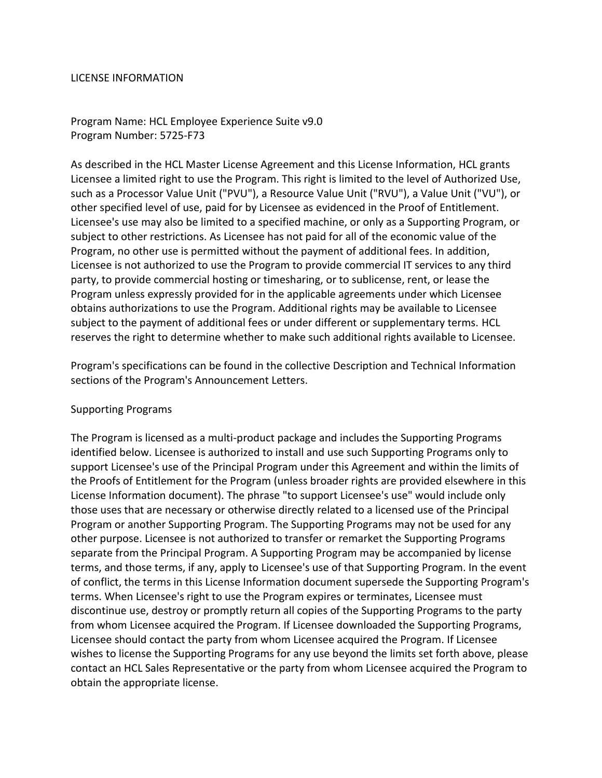#### LICENSE INFORMATION

Program Name: HCL Employee Experience Suite v9.0 Program Number: 5725-F73

As described in the HCL Master License Agreement and this License Information, HCL grants Licensee a limited right to use the Program. This right is limited to the level of Authorized Use, such as a Processor Value Unit ("PVU"), a Resource Value Unit ("RVU"), a Value Unit ("VU"), or other specified level of use, paid for by Licensee as evidenced in the Proof of Entitlement. Licensee's use may also be limited to a specified machine, or only as a Supporting Program, or subject to other restrictions. As Licensee has not paid for all of the economic value of the Program, no other use is permitted without the payment of additional fees. In addition, Licensee is not authorized to use the Program to provide commercial IT services to any third party, to provide commercial hosting or timesharing, or to sublicense, rent, or lease the Program unless expressly provided for in the applicable agreements under which Licensee obtains authorizations to use the Program. Additional rights may be available to Licensee subject to the payment of additional fees or under different or supplementary terms. HCL reserves the right to determine whether to make such additional rights available to Licensee.

Program's specifications can be found in the collective Description and Technical Information sections of the Program's Announcement Letters.

### Supporting Programs

The Program is licensed as a multi-product package and includes the Supporting Programs identified below. Licensee is authorized to install and use such Supporting Programs only to support Licensee's use of the Principal Program under this Agreement and within the limits of the Proofs of Entitlement for the Program (unless broader rights are provided elsewhere in this License Information document). The phrase "to support Licensee's use" would include only those uses that are necessary or otherwise directly related to a licensed use of the Principal Program or another Supporting Program. The Supporting Programs may not be used for any other purpose. Licensee is not authorized to transfer or remarket the Supporting Programs separate from the Principal Program. A Supporting Program may be accompanied by license terms, and those terms, if any, apply to Licensee's use of that Supporting Program. In the event of conflict, the terms in this License Information document supersede the Supporting Program's terms. When Licensee's right to use the Program expires or terminates, Licensee must discontinue use, destroy or promptly return all copies of the Supporting Programs to the party from whom Licensee acquired the Program. If Licensee downloaded the Supporting Programs, Licensee should contact the party from whom Licensee acquired the Program. If Licensee wishes to license the Supporting Programs for any use beyond the limits set forth above, please contact an HCL Sales Representative or the party from whom Licensee acquired the Program to obtain the appropriate license.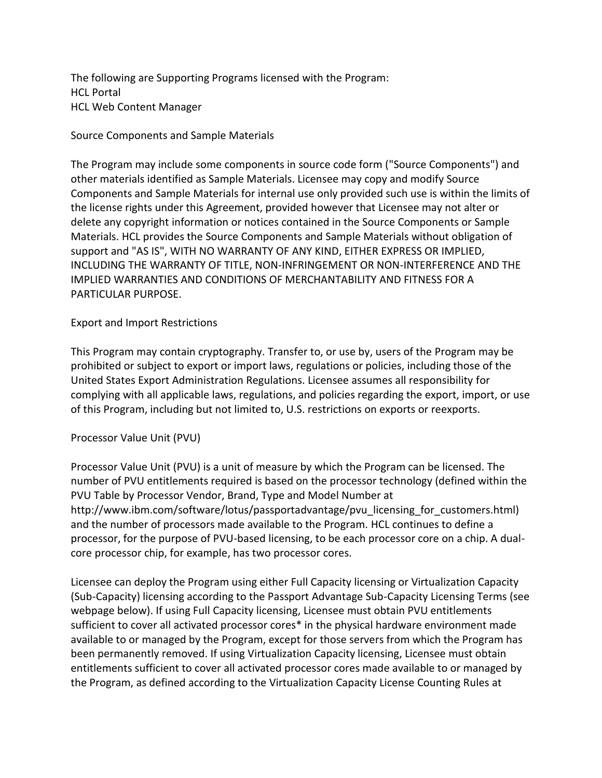The following are Supporting Programs licensed with the Program: HCL Portal HCL Web Content Manager

Source Components and Sample Materials

The Program may include some components in source code form ("Source Components") and other materials identified as Sample Materials. Licensee may copy and modify Source Components and Sample Materials for internal use only provided such use is within the limits of the license rights under this Agreement, provided however that Licensee may not alter or delete any copyright information or notices contained in the Source Components or Sample Materials. HCL provides the Source Components and Sample Materials without obligation of support and "AS IS", WITH NO WARRANTY OF ANY KIND, EITHER EXPRESS OR IMPLIED, INCLUDING THE WARRANTY OF TITLE, NON-INFRINGEMENT OR NON-INTERFERENCE AND THE IMPLIED WARRANTIES AND CONDITIONS OF MERCHANTABILITY AND FITNESS FOR A PARTICULAR PURPOSE.

### Export and Import Restrictions

This Program may contain cryptography. Transfer to, or use by, users of the Program may be prohibited or subject to export or import laws, regulations or policies, including those of the United States Export Administration Regulations. Licensee assumes all responsibility for complying with all applicable laws, regulations, and policies regarding the export, import, or use of this Program, including but not limited to, U.S. restrictions on exports or reexports.

### Processor Value Unit (PVU)

Processor Value Unit (PVU) is a unit of measure by which the Program can be licensed. The number of PVU entitlements required is based on the processor technology (defined within the PVU Table by Processor Vendor, Brand, Type and Model Number at http://www.ibm.com/software/lotus/passportadvantage/pvu licensing for customers.html) and the number of processors made available to the Program. HCL continues to define a processor, for the purpose of PVU-based licensing, to be each processor core on a chip. A dualcore processor chip, for example, has two processor cores.

Licensee can deploy the Program using either Full Capacity licensing or Virtualization Capacity (Sub-Capacity) licensing according to the Passport Advantage Sub-Capacity Licensing Terms (see webpage below). If using Full Capacity licensing, Licensee must obtain PVU entitlements sufficient to cover all activated processor cores\* in the physical hardware environment made available to or managed by the Program, except for those servers from which the Program has been permanently removed. If using Virtualization Capacity licensing, Licensee must obtain entitlements sufficient to cover all activated processor cores made available to or managed by the Program, as defined according to the Virtualization Capacity License Counting Rules at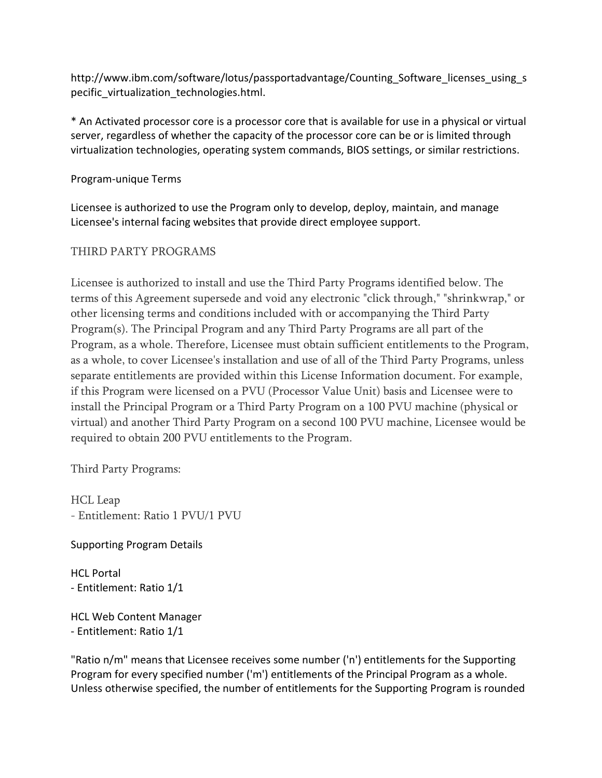http://www.ibm.com/software/lotus/passportadvantage/Counting Software licenses using s pecific virtualization technologies.html.

\* An Activated processor core is a processor core that is available for use in a physical or virtual server, regardless of whether the capacity of the processor core can be or is limited through virtualization technologies, operating system commands, BIOS settings, or similar restrictions.

## Program-unique Terms

Licensee is authorized to use the Program only to develop, deploy, maintain, and manage Licensee's internal facing websites that provide direct employee support.

# THIRD PARTY PROGRAMS

Licensee is authorized to install and use the Third Party Programs identified below. The terms of this Agreement supersede and void any electronic "click through," "shrinkwrap," or other licensing terms and conditions included with or accompanying the Third Party Program(s). The Principal Program and any Third Party Programs are all part of the Program, as a whole. Therefore, Licensee must obtain sufficient entitlements to the Program, as a whole, to cover Licensee's installation and use of all of the Third Party Programs, unless separate entitlements are provided within this License Information document. For example, if this Program were licensed on a PVU (Processor Value Unit) basis and Licensee were to install the Principal Program or a Third Party Program on a 100 PVU machine (physical or virtual) and another Third Party Program on a second 100 PVU machine, Licensee would be required to obtain 200 PVU entitlements to the Program.

Third Party Programs:

HCL Leap - Entitlement: Ratio 1 PVU/1 PVU

## Supporting Program Details

HCL Portal - Entitlement: Ratio 1/1

HCL Web Content Manager - Entitlement: Ratio 1/1

"Ratio n/m" means that Licensee receives some number ('n') entitlements for the Supporting Program for every specified number ('m') entitlements of the Principal Program as a whole. Unless otherwise specified, the number of entitlements for the Supporting Program is rounded